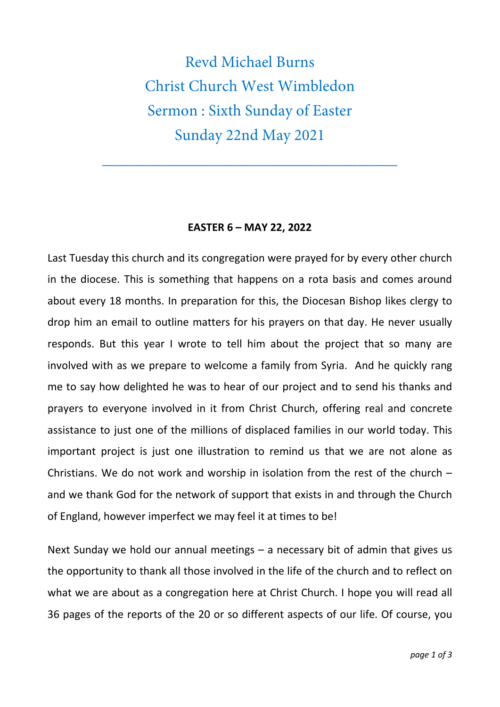Revd Michael Burns Christ Church West Wimbledon Sermon : Sixth Sunday of Easter Sunday 22nd May 2021

\_\_\_\_\_\_\_\_\_\_\_\_\_\_\_\_\_\_\_\_\_\_\_\_\_\_\_\_\_\_\_\_\_\_\_\_\_

## **EASTER 6 – MAY 22, 2022**

Last Tuesday this church and its congregation were prayed for by every other church in the diocese. This is something that happens on a rota basis and comes around about every 18 months. In preparation for this, the Diocesan Bishop likes clergy to drop him an email to outline matters for his prayers on that day. He never usually responds. But this year I wrote to tell him about the project that so many are involved with as we prepare to welcome a family from Syria. And he quickly rang me to say how delighted he was to hear of our project and to send his thanks and prayers to everyone involved in it from Christ Church, offering real and concrete assistance to just one of the millions of displaced families in our world today. This important project is just one illustration to remind us that we are not alone as Christians. We do not work and worship in isolation from the rest of the church – and we thank God for the network of support that exists in and through the Church of England, however imperfect we may feel it at times to be!

Next Sunday we hold our annual meetings – a necessary bit of admin that gives us the opportunity to thank all those involved in the life of the church and to reflect on what we are about as a congregation here at Christ Church. I hope you will read all 36 pages of the reports of the 20 or so different aspects of our life. Of course, you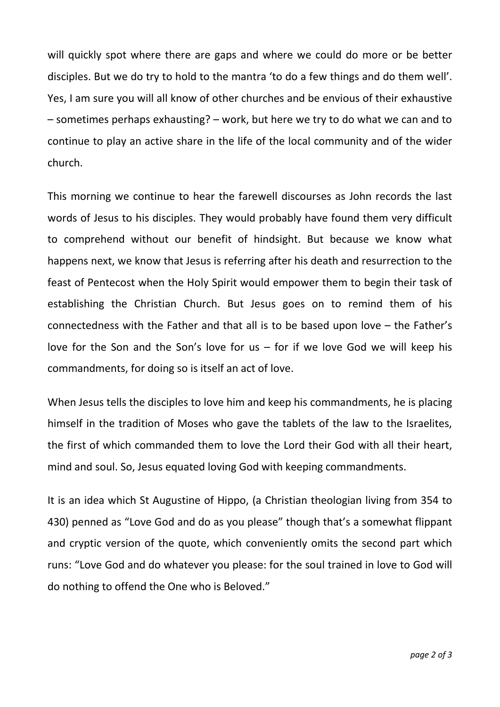will quickly spot where there are gaps and where we could do more or be better disciples. But we do try to hold to the mantra 'to do a few things and do them well'. Yes, I am sure you will all know of other churches and be envious of their exhaustive – sometimes perhaps exhausting? – work, but here we try to do what we can and to continue to play an active share in the life of the local community and of the wider church.

This morning we continue to hear the farewell discourses as John records the last words of Jesus to his disciples. They would probably have found them very difficult to comprehend without our benefit of hindsight. But because we know what happens next, we know that Jesus is referring after his death and resurrection to the feast of Pentecost when the Holy Spirit would empower them to begin their task of establishing the Christian Church. But Jesus goes on to remind them of his connectedness with the Father and that all is to be based upon love – the Father's love for the Son and the Son's love for us – for if we love God we will keep his commandments, for doing so is itself an act of love.

When Jesus tells the disciples to love him and keep his commandments, he is placing himself in the tradition of Moses who gave the tablets of the law to the Israelites, the first of which commanded them to love the Lord their God with all their heart, mind and soul. So, Jesus equated loving God with keeping commandments.

It is an idea which St Augustine of Hippo, (a Christian theologian living from 354 to 430) penned as "Love God and do as you please" though that's a somewhat flippant and cryptic version of the quote, which conveniently omits the second part which runs: "Love God and do whatever you please: for the soul trained in love to God will do nothing to offend the One who is Beloved."